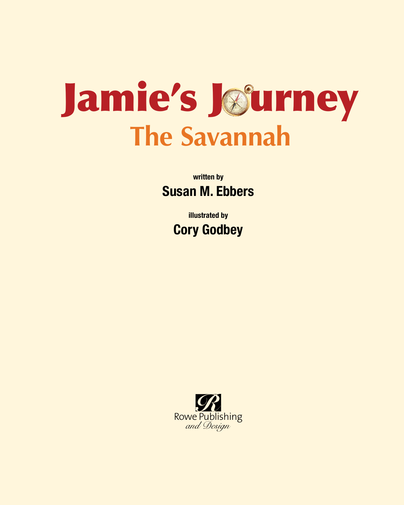

written by Susan M. Ebbers

> illustrated by Cory Godbey

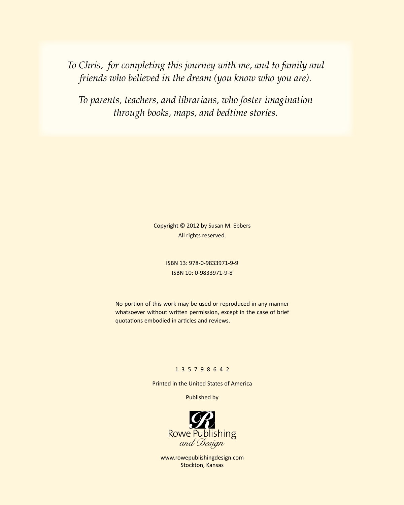*To Chris, for completing this journey with me, and to family and friends who believed in the dream (you know who you are).*

*To parents, teachers, and librarians, who foster imagination through books, maps, and bedtime stories.*

> Copyright © 2012 by Susan M. Ebbers All rights reserved.

> > ISBN 13: 978-0-9833971-9-9 ISBN 10: 0-9833971-9-8

No portion of this work may be used or reproduced in any manner whatsoever without written permission, except in the case of brief quotations embodied in articles and reviews.

## 1 3 5 7 9 8 6 4 2

Printed in the United States of America

Published by



www.rowepublishingdesign.com Stockton, Kansas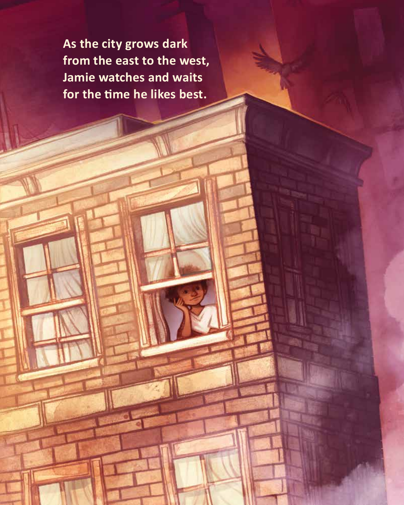**As the city grows dark from the east to the west, Jamie watches and waits for the time he likes best.**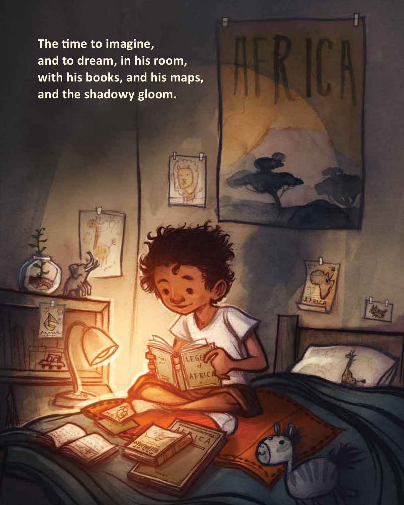**The time to imagine, and to dream, in his room, with his books, and his maps, and the shadowy gloom.**

S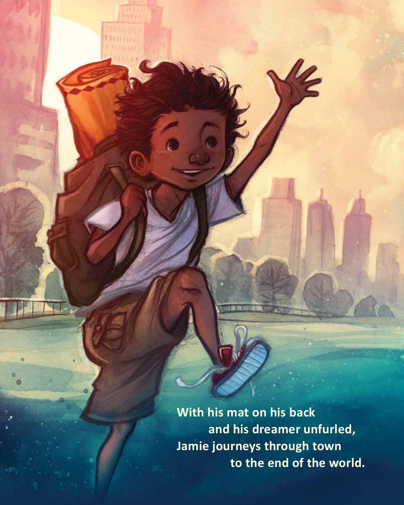**With his mat on his back and his dreamer unfurled, Jamie journeys through town to the end of the world.**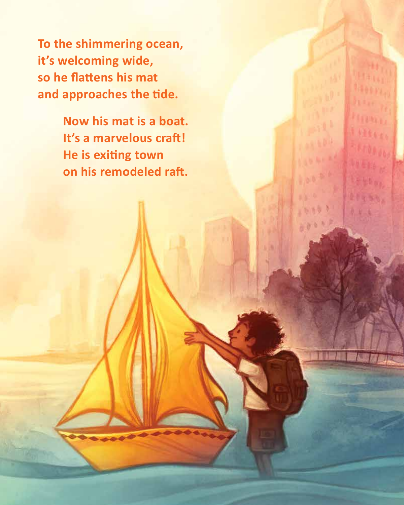**To the shimmering ocean, it's welcoming wide, so he flattens his mat and approaches the tide.**

> **Now his mat is a boat. It's a marvelous craft! He is exiting town on his remodeled raft.**

Letter,

11466,

 $5.16$